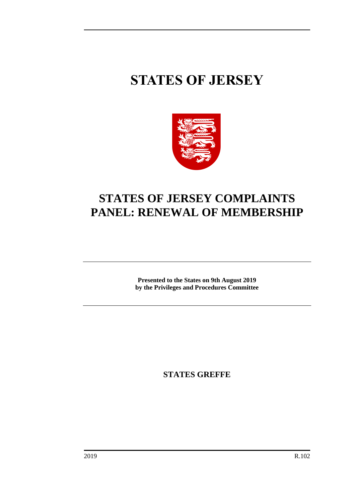# **STATES OF JERSEY**



# **STATES OF JERSEY COMPLAINTS PANEL: RENEWAL OF MEMBERSHIP**

**Presented to the States on 9th August 2019 by the Privileges and Procedures Committee**

**STATES GREFFE**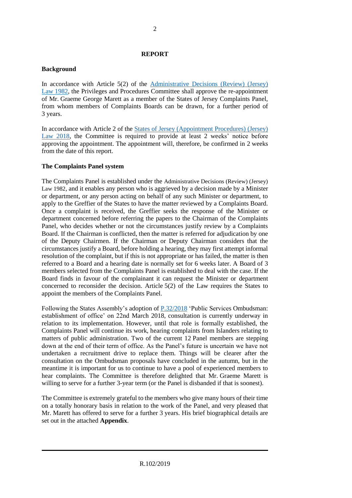### **REPORT**

#### **Background**

In accordance with Article 5(2) of the [Administrative Decisions \(Review\) \(Jersey\)](https://www.jerseylaw.je/laws/revised/Pages/16.025.aspx)  Law [1982,](https://www.jerseylaw.je/laws/revised/Pages/16.025.aspx) the Privileges and Procedures Committee shall approve the re-appointment of Mr. Graeme George Marett as a member of the States of Jersey Complaints Panel, from whom members of Complaints Boards can be drawn, for a further period of 3 years.

In accordance with Article 2 of the [States of Jersey \(Appointment Procedures\) \(Jersey\)](https://www.jerseylaw.je/laws/revised/Pages/16.810.aspx)  [Law 2018,](https://www.jerseylaw.je/laws/revised/Pages/16.810.aspx) the Committee is required to provide at least 2 weeks' notice before approving the appointment. The appointment will, therefore, be confirmed in 2 weeks from the date of this report.

### **The Complaints Panel system**

The Complaints Panel is established under the Administrative Decisions (Review) (Jersey) Law 1982, and it enables any person who is aggrieved by a decision made by a Minister or department, or any person acting on behalf of any such Minister or department, to apply to the Greffier of the States to have the matter reviewed by a Complaints Board. Once a complaint is received, the Greffier seeks the response of the Minister or department concerned before referring the papers to the Chairman of the Complaints Panel, who decides whether or not the circumstances justify review by a Complaints Board. If the Chairman is conflicted, then the matter is referred for adjudication by one of the Deputy Chairmen. If the Chairman or Deputy Chairman considers that the circumstances justify a Board, before holding a hearing, they may first attempt informal resolution of the complaint, but if this is not appropriate or has failed, the matter is then referred to a Board and a hearing date is normally set for 6 weeks later. A Board of 3 members selected from the Complaints Panel is established to deal with the case. If the Board finds in favour of the complainant it can request the Minister or department concerned to reconsider the decision. Article 5(2) of the Law requires the States to appoint the members of the Complaints Panel.

Following the States Assembly's adoption of [P.32/2018](https://statesassembly.gov.je/AssemblyPropositions/2018/P.32-2018.pdf) 'Public Services Ombudsman: establishment of office' on 22nd March 2018, consultation is currently underway in relation to its implementation. However, until that role is formally established, the Complaints Panel will continue its work, hearing complaints from Islanders relating to matters of public administration. Two of the current 12 Panel members are stepping down at the end of their term of office. As the Panel's future is uncertain we have not undertaken a recruitment drive to replace them. Things will be clearer after the consultation on the Ombudsman proposals have concluded in the autumn, but in the meantime it is important for us to continue to have a pool of experienced members to hear complaints. The Committee is therefore delighted that Mr. Graeme Marett is willing to serve for a further 3-year term (or the Panel is disbanded if that is soonest).

The Committee is extremely grateful to the members who give many hours of their time on a totally honorary basis in relation to the work of the Panel, and very pleased that Mr. Marett has offered to serve for a further 3 years. His brief biographical details are set out in the attached **Appendix**.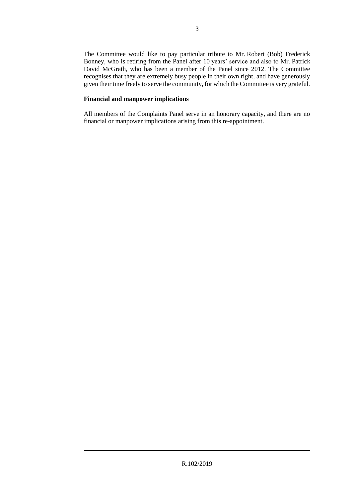The Committee would like to pay particular tribute to Mr. Robert (Bob) Frederick Bonney, who is retiring from the Panel after 10 years' service and also to Mr. Patrick David McGrath, who has been a member of the Panel since 2012. The Committee recognises that they are extremely busy people in their own right, and have generously given their time freely to serve the community, for which the Committee is very grateful.

### **Financial and manpower implications**

All members of the Complaints Panel serve in an honorary capacity, and there are no financial or manpower implications arising from this re-appointment.